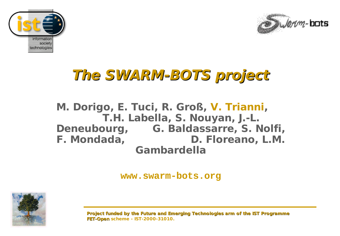



## **The SWARM-BOTS project**

#### **M. Dorigo, E. Tuci, R. Groß, V. Trianni, T.H. Labella, S. Nouyan, J.-L. Deneubourg, G. Baldassarre, S. Nolfi, F. Mondada, D. Floreano, L.M. Gambardella**

**www.swarm-bots.org**

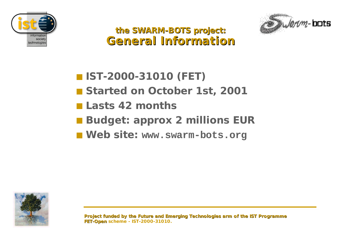



**the SWARM-BOTS project: General Information**

- **IST-2000-31010 (FET)**
- **Started on October 1st, 2001**
- **Lasts 42 months**
- **Budget: approx 2 millions EUR**
- **Web site: www.swarm-bots.org**

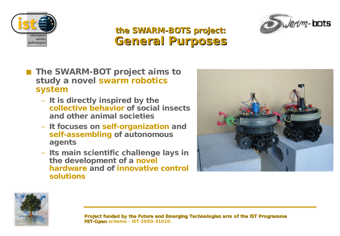



#### **the SWARM-BOTS project: General Purposes**

- **The SWARM-BOT** project aims to **study a novel swarm robotics system**
	- **It is directly inspired by the collective behavior of social insects and other animal societies**
	- **It focuses on self-organization and self-assembling of autonomous agents**
	- **Its main scientific challenge lays in the development of a novel hardware and of innovative control solutions**



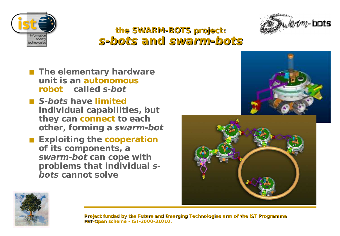



#### **the SWARM-BOTS project: s-bots and swarm-bots**

- **The elementary hardware unit is an autonomous robot called s-bot**
- **S-bots have limited individual capabilities, but they can connect to each other, forming a swarm-bot**
- **Exploiting the cooperation of its components, a swarm-bot can cope with problems that individual sbots cannot solve**



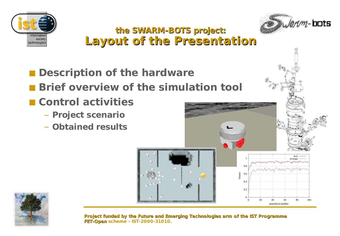



#### **the SWARM-BOTS project: Layout of the Presentation**

- **Description of the hardware**
- **Brief overview of the simulation tool**
- **Control activities**
	- **Project scenario**
	- **Obtained results**



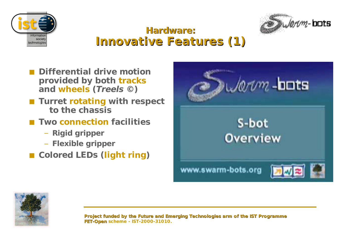



#### **Hardware: Innovative Features (1)**

- **Differential drive motion provided by both tracks and wheels (Treels ©)**
- **Turret rotating** with respect **to the chassis**
- **Two connection** facilities
	- **Rigid gripper**
	- **Flexible gripper**
- **Colored LEDs (light ring)**



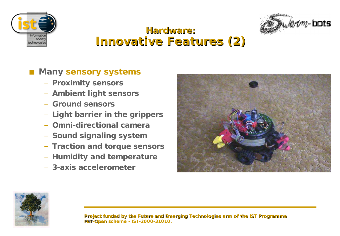



#### **Hardware: Innovative Features (2)**

#### **Many sensory systems**

- **Proximity sensors**
- **Ambient light sensors**
- **Ground sensors**
- **Light barrier in the grippers**
- **Omni-directional camera**
- **Sound signaling system**
- **Traction and torque sensors**
- **Humidity and temperature**
- **3-axis accelerometer**



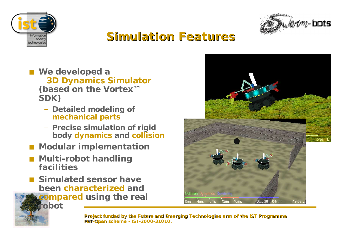



## **Simulation Features**

- **We developed a 3D Dynamics Simulator (based on the Vortex™ SDK)**
	- **Detailed modeling of mechanical parts**
	- **Precise simulation of rigid body dynamics and collision**
- **Modular** implementation
- **Multi-robot** handling **facilities**

**robot**

■ **Simulated sensor have been characterized and compared using the real**

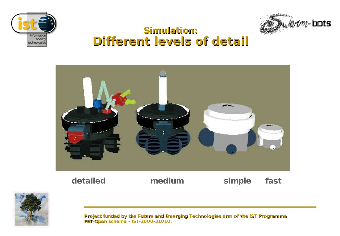



#### **Simulation: Different levels of detail**



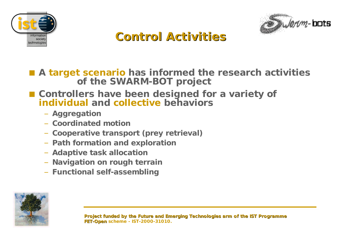



## **Control Activities**

■ A **target scenario** has informed the research activities **of the SWARM-BOT project**

#### ■ **Controllers have been designed for a variety of individual and collective behaviors**

- **Aggregation**
- **Coordinated motion**
- **Cooperative transport (prey retrieval)**
- **Path formation and exploration**
- **Adaptive task allocation**
- **Navigation on rough terrain**
- **Functional self-assembling**

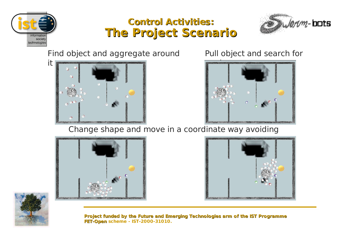

#### **Control Activities: The Project Scenario**



Find object and aggregate around



Pull object and search for



Change shape and move in a coordinate way avoiding





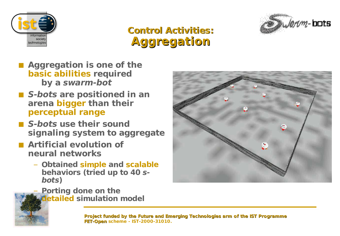





- **Aggregation is one of the basic abilities required by a swarm-bot**
- S-bots are positioned in an **arena bigger than their perceptual range**
- **S-bots use their sound signaling system to aggregate**
- **Artificial evolution** of **neural networks**
	- **Obtained simple and scalable behaviors (tried up to 40 sbots)**
		- **Porting done on the detailed simulation model**



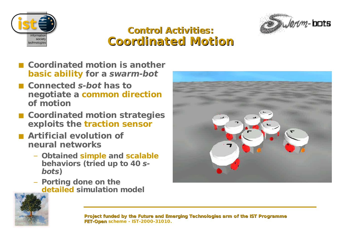



#### **Control Activities: Coordinated Motion**

- **Coordinated motion is another basic ability for a swarm-bot**
- **Connected s-bot has to negotiate a common direction of motion**
- **Coordinated motion strategies exploits the traction sensor**
- **Artificial evolution** of **neural networks**
	- **Obtained simple and scalable behaviors (tried up to 40 sbots)**
	- **Porting done on the detailed simulation model**



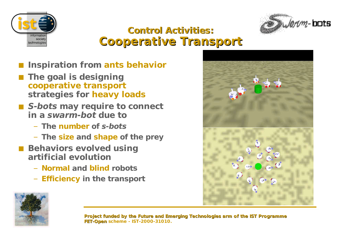



#### **Control Activities: Cooperative Transport**

- **Inspiration from ants behavior**
- **The goal is designing cooperative transport strategies for heavy loads**
- S-bots may require to connect **in a swarm-bot due to**
	- **The number of s-bots**
	- **The size and shape of the prey**
- **Behaviors evolved using artificial evolution**
	- **Normal and blind robots**
	- **Efficiency in the transport**



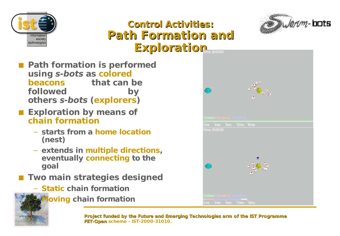



#### **Control Activities: Path Formation and Exploration**

- **Path formation is performed using s-bots as colored beacons that can be followed by others s-bots (explorers)**
- **Exploration by means of chain formation**
	- **starts from a home location (nest)**
	- **extends in multiple directions, eventually connecting to the goal**
- **Two main strategies designed** 
	- **Static chain formation**
	- **Moving chain formation**

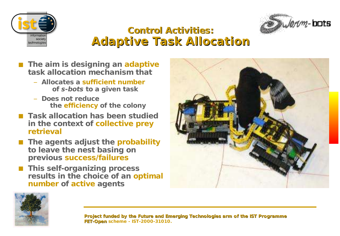



#### **Control Activities: Adaptive Task Allocation**

- **The aim is designing an adaptive task allocation mechanism that**
	- **Allocates a sufficient number of s-bots to a given task**
	- **Does not reduce the efficiency of the colony**
- **Task allocation has been studied in the context of collective prey retrieval**
- **The agents adjust the probability to leave the nest basing on previous success/failures**
- **This self-organizing process results in the choice of an optimal number of active agents**



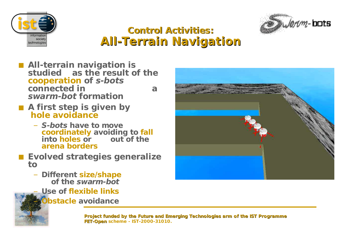



#### **Control Activities: All-Terrain Navigation**

- **All-terrain navigation is studied as the result of the cooperation of s-bots connected in a swarm-bot formation**
- **A first step is given by hole avoidance**
	- **S-bots have to move coordinately avoiding to fall into holes or out of the arena borders**
- **Evolved strategies generalize to**
	- **Different size/shape of the swarm-bot**
		- **Use of flexible links**
		- **Obstacle avoidance**

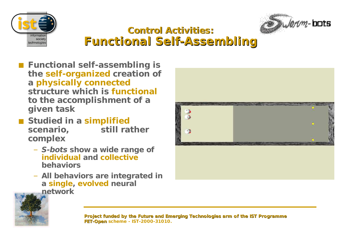



#### **Control Activities: Functional Self-Assembling**

- Functional self-assembling is **the self-organized creation of a physically connected structure which is functional to the accomplishment of a given task**
- **Studied** in a **simplified scenario, still rather complex**
	- **S-bots show a wide range of individual and collective behaviors**
	- **All behaviors are integrated in a single, evolved neural network**



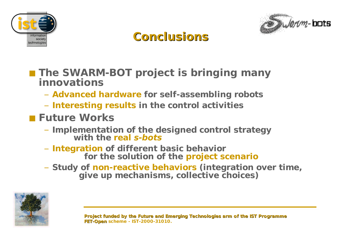



## **Conclusions**

- **The SWARM-BOT project is bringing many innovations**
	- **Advanced hardware for self-assembling robots**
	- **Interesting results in the control activities**
- **Future Works**
	- **Implementation of the designed control strategy with the real s-bots**
	- **Integration of different basic behavior for the solution of the project scenario**
	- **Study of non-reactive behaviors (integration over time, give up mechanisms, collective choices)**

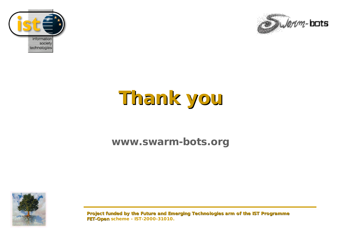



# **Thank you**

#### **www.swarm-bots.org**